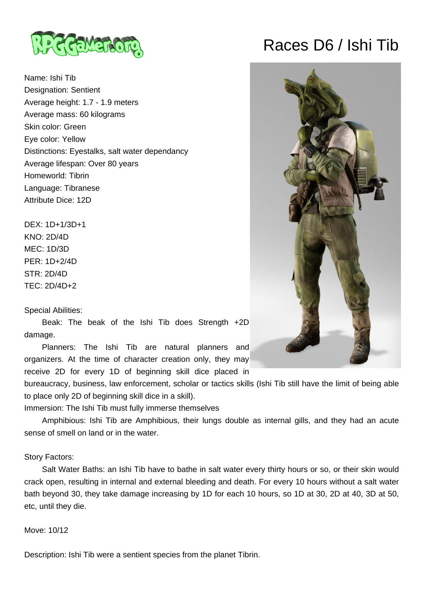

Name: Ishi Tib Designation: Sentient Average height: 1.7 - 1.9 meters Average mass: 60 kilograms Skin color: Green Eye color: Yellow Distinctions: Eyestalks, salt water dependancy Average lifespan: Over 80 years Homeworld: Tibrin Language: Tibranese Attribute Dice: 12D

DEX: 1D+1/3D+1 KNO: 2D/4D MEC: 1D/3D PER: 1D+2/4D STR: 2D/4D TEC: 2D/4D+2

#### Special Abilities:

 Beak: The beak of the Ishi Tib does Strength +2D damage.

 Planners: The Ishi Tib are natural planners and organizers. At the time of character creation only, they may receive 2D for every 1D of beginning skill dice placed in

bureaucracy, business, law enforcement, scholar or tactics skills (Ishi Tib still have the limit of being able to place only 2D of beginning skill dice in a skill).

Immersion: The Ishi Tib must fully immerse themselves

 Amphibious: Ishi Tib are Amphibious, their lungs double as internal gills, and they had an acute sense of smell on land or in the water.

### Story Factors:

 Salt Water Baths: an Ishi Tib have to bathe in salt water every thirty hours or so, or their skin would crack open, resulting in internal and external bleeding and death. For every 10 hours without a salt water bath beyond 30, they take damage increasing by 1D for each 10 hours, so 1D at 30, 2D at 40, 3D at 50, etc, until they die.

## Move: 10/12

Description: Ishi Tib were a sentient species from the planet Tibrin.

# Races D6 / Ishi Tib

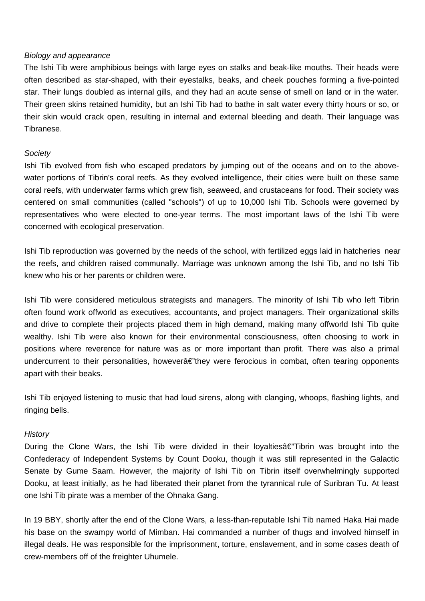### Biology and appearance

The Ishi Tib were amphibious beings with large eyes on stalks and beak-like mouths. Their heads were often described as star-shaped, with their eyestalks, beaks, and cheek pouches forming a five-pointed star. Their lungs doubled as internal gills, and they had an acute sense of smell on land or in the water. Their green skins retained humidity, but an Ishi Tib had to bathe in salt water every thirty hours or so, or their skin would crack open, resulting in internal and external bleeding and death. Their language was Tibranese.

### **Society**

Ishi Tib evolved from fish who escaped predators by jumping out of the oceans and on to the abovewater portions of Tibrin's coral reefs. As they evolved intelligence, their cities were built on these same coral reefs, with underwater farms which grew fish, seaweed, and crustaceans for food. Their society was centered on small communities (called "schools") of up to 10,000 Ishi Tib. Schools were governed by representatives who were elected to one-year terms. The most important laws of the Ishi Tib were concerned with ecological preservation.

Ishi Tib reproduction was governed by the needs of the school, with fertilized eggs laid in hatcheries near the reefs, and children raised communally. Marriage was unknown among the Ishi Tib, and no Ishi Tib knew who his or her parents or children were.

Ishi Tib were considered meticulous strategists and managers. The minority of Ishi Tib who left Tibrin often found work offworld as executives, accountants, and project managers. Their organizational skills and drive to complete their projects placed them in high demand, making many offworld Ishi Tib quite wealthy. Ishi Tib were also known for their environmental consciousness, often choosing to work in positions where reverence for nature was as or more important than profit. There was also a primal undercurrent to their personalities, howeverâ $\epsilon$ "they were ferocious in combat, often tearing opponents apart with their beaks.

Ishi Tib enjoyed listening to music that had loud sirens, along with clanging, whoops, flashing lights, and ringing bells.

### **History**

During the Clone Wars, the Ishi Tib were divided in their loyaltiesâ€"Tibrin was brought into the Confederacy of Independent Systems by Count Dooku, though it was still represented in the Galactic Senate by Gume Saam. However, the majority of Ishi Tib on Tibrin itself overwhelmingly supported Dooku, at least initially, as he had liberated their planet from the tyrannical rule of Suribran Tu. At least one Ishi Tib pirate was a member of the Ohnaka Gang.

In 19 BBY, shortly after the end of the Clone Wars, a less-than-reputable Ishi Tib named Haka Hai made his base on the swampy world of Mimban. Hai commanded a number of thugs and involved himself in illegal deals. He was responsible for the imprisonment, torture, enslavement, and in some cases death of crew-members off of the freighter Uhumele.